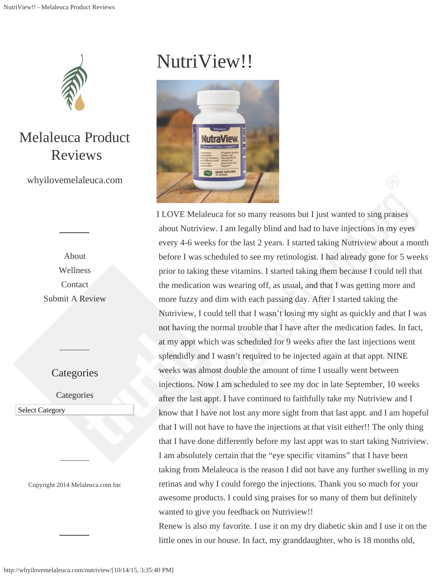

Melaleuca Product Reviews

whyilovemelaleuca.com

[About](http://whyilovemelaleuca.com/about/) [Wellness](http://whyilovemelaleuca.com/category/wellness/) [Contact](http://whyilovemelaleuca.com/melaleuca-customer-service/) [Submit A Review](http://whyilovemelaleuca.com/submit-review/)

## **Categories**

**Categories** 

Select Category Select Category

Copyright 2014 [Melaleuca.com](http://www.melaleuca.info/) Inc

## NutriView!!



I LOVE Melaleuca for so many reasons but I just wanted to sing praises about Nutriview. I am legally blind and had to have injections in my eyes every 4-6 weeks for the last 2 years. I started taking Nutriview about a month before I was scheduled to see my retinologist. I had already gone for 5 weeks prior to taking these vitamins. I started taking them because I could tell that the medication was wearing off, as usual, and that I was getting more and more fuzzy and dim with each passing day. After I started taking the Nutriview, I could tell that I wasn't losing my sight as quickly and that I was not having the normal trouble that I have after the medication fades. In fact, at my appt which was scheduled for 9 weeks after the last injections went splendidly and I wasn't required to be injected again at that appt. NINE weeks was almost double the amount of time I usually went between injections. Now I am scheduled to see my doc in late September, 10 weeks after the last appt. I have continued to faithfully take my Nutriview and I know that I have not lost any more sight from that last appt. and I am hopeful that I will not have to have the injections at that visit either!! The only thing that I have done differently before my last appt was to start taking Nutriview. I am absolutely certain that the "eye specific vitamins" that I have been taking from Melaleuca is the reason I did not have any further swelling in my retinas and why I could forego the injections. Thank you so much for your awesome products. I could sing praises for so many of them but definitely wanted to give you feedback on Nutriview!!

Renew is also my favorite. I use it on my dry diabetic skin and I use it on the little ones in our house. In fact, my granddaughter, who is 18 months old,